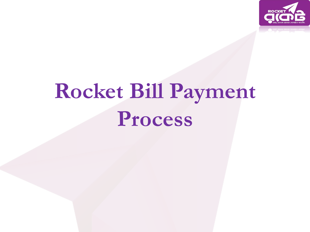

# **Rocket Bill Payment Process**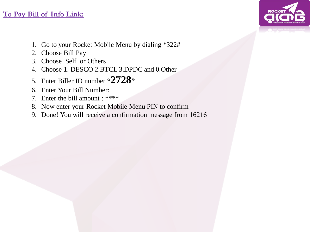#### **To Pay Bill of Info Link:**

- 1. Go to your Rocket Mobile Menu by dialing \*322#
- 2. Choose Bill Pay
- 3. Choose Self or Others
- 4. Choose 1. DESCO 2.BTCL 3.DPDC and 0.Other
- 5. Enter Biller ID number **"2728"**
- 6. Enter Your Bill Number:
- 7. Enter the bill amount : \*\*\*\*
- 8. Now enter your Rocket Mobile Menu PIN to confirm
- 9. Done! You will receive a confirmation message from 16216

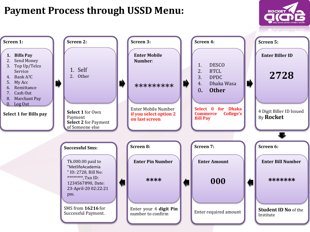#### **Payment Process through USSD Menu:**



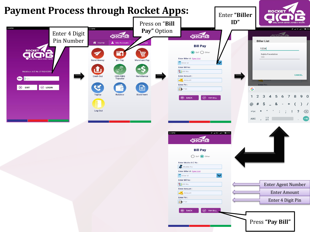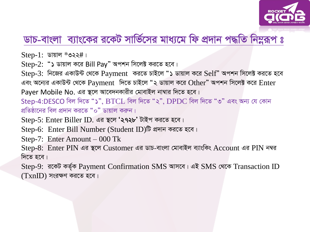

### ডাচ-বাংলা ব্যাংকের রকেট সার্ভিসের মাধ্যমে ফি প্রদান পদ্ধতি নিম্নরূপ ঃ

 $Step-1$ : ডায়াল \*৩২২#।

 $Step-2:$  "১ ডায়াল করে Bill Pay" অপশন সিলেক্ট করতে হবে।

Step-3: নিজের একাউন্ট থেকে Payment করতে চাইলে "১ ডায়াল করে Self" অপশন সিলেক্ট করতে হবে এবং অন্যের একাউন্ট থেকে Payment দিতে চাইলে "২ ডায়াল করে Other" অপশন সিলেক্ট করে Enter Payer Mobile No. এর স্থলে আবেদনকারীর মোবাইল নাম্বার দিতে হবে। Step-4:DESCO বিল দিতে "১", BTCL বিল দিতে "২", DPDC বিল দিতে "৩" এবং অন্য যে কোন

প্রতিষ্ঠানের বিল প্রদান করতে "০" ডায়াল করুন।

Step-5: Enter Biller ID. এর স্থলে '২৭২৮' টাইপ করতে হবে।

Step-6: Enter Bill Number (Student ID)টি প্রদান করতে হবে।

Step-7: Enter Amount  $-000$  Tk

Step-8: Enter PIN এর স্থলে Customer এর ডাচ-বাংলা মোবাইল ব্যাংকিং Account এর PIN নম্বর দিতে হবে।

Step-9: রকেট কর্তৃক Payment Confirmation SMS আসবে। এই SMS থেকে Transaction ID  $(TxnID)$  সংরক্ষণ করতে হবে।